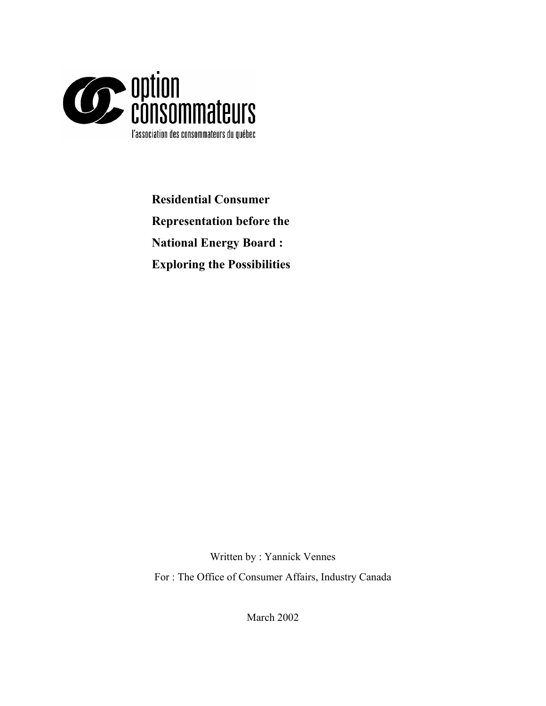

**Residential Consumer Representation before the National Energy Board : Exploring the Possibilities** 

Written by : Yannick Vennes For : The Office of Consumer Affairs, Industry Canada

March 2002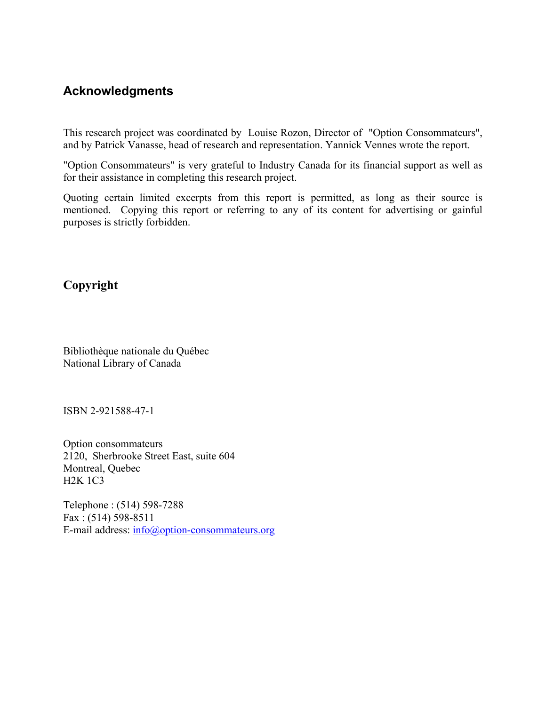# **Acknowledgments**

This research project was coordinated by Louise Rozon, Director of "Option Consommateurs", and by Patrick Vanasse, head of research and representation. Yannick Vennes wrote the report.

"Option Consommateurs" is very grateful to Industry Canada for its financial support as well as for their assistance in completing this research project.

Quoting certain limited excerpts from this report is permitted, as long as their source is mentioned. Copying this report or referring to any of its content for advertising or gainful purposes is strictly forbidden.

# **Copyright**

Bibliothèque nationale du Québec National Library of Canada

ISBN 2-921588-47-1

Option consommateurs 2120, Sherbrooke Street East, suite 604 Montreal, Quebec H2K 1C3

Telephone : (514) 598-7288 Fax : (514) 598-8511 E-mail address: [info@option-consommateurs.org](mailto:courriel@option-consommateurs.org)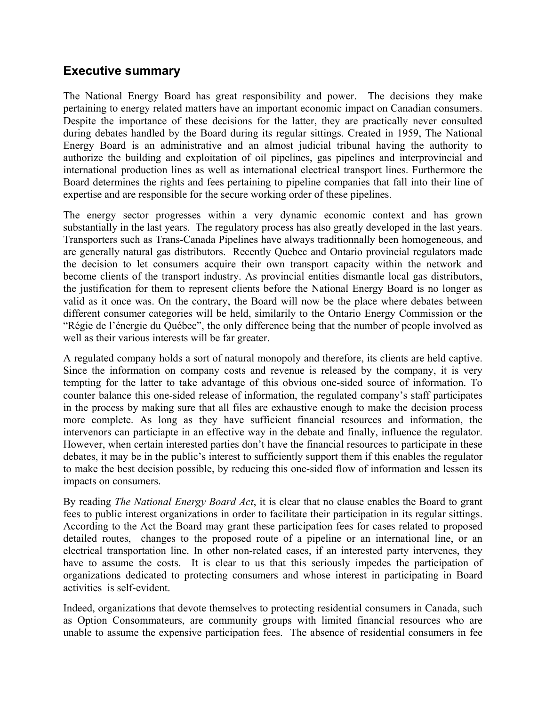# **Executive summary**

The National Energy Board has great responsibility and power. The decisions they make pertaining to energy related matters have an important economic impact on Canadian consumers. Despite the importance of these decisions for the latter, they are practically never consulted during debates handled by the Board during its regular sittings. Created in 1959, The National Energy Board is an administrative and an almost judicial tribunal having the authority to authorize the building and exploitation of oil pipelines, gas pipelines and interprovincial and international production lines as well as international electrical transport lines. Furthermore the Board determines the rights and fees pertaining to pipeline companies that fall into their line of expertise and are responsible for the secure working order of these pipelines.

The energy sector progresses within a very dynamic economic context and has grown substantially in the last years. The regulatory process has also greatly developed in the last years. Transporters such as Trans-Canada Pipelines have always traditionnally been homogeneous, and are generally natural gas distributors. Recently Quebec and Ontario provincial regulators made the decision to let consumers acquire their own transport capacity within the network and become clients of the transport industry. As provincial entities dismantle local gas distributors, the justification for them to represent clients before the National Energy Board is no longer as valid as it once was. On the contrary, the Board will now be the place where debates between different consumer categories will be held, similarily to the Ontario Energy Commission or the "Régie de l'énergie du Québec", the only difference being that the number of people involved as well as their various interests will be far greater.

A regulated company holds a sort of natural monopoly and therefore, its clients are held captive. Since the information on company costs and revenue is released by the company, it is very tempting for the latter to take advantage of this obvious one-sided source of information. To counter balance this one-sided release of information, the regulated company's staff participates in the process by making sure that all files are exhaustive enough to make the decision process more complete. As long as they have sufficient financial resources and information, the intervenors can particiapte in an effective way in the debate and finally, influence the regulator. However, when certain interested parties don't have the financial resources to participate in these debates, it may be in the public's interest to sufficiently support them if this enables the regulator to make the best decision possible, by reducing this one-sided flow of information and lessen its impacts on consumers.

By reading *The National Energy Board Act*, it is clear that no clause enables the Board to grant fees to public interest organizations in order to facilitate their participation in its regular sittings. According to the Act the Board may grant these participation fees for cases related to proposed detailed routes, changes to the proposed route of a pipeline or an international line, or an electrical transportation line. In other non-related cases, if an interested party intervenes, they have to assume the costs. It is clear to us that this seriously impedes the participation of organizations dedicated to protecting consumers and whose interest in participating in Board activities is self-evident.

Indeed, organizations that devote themselves to protecting residential consumers in Canada, such as Option Consommateurs, are community groups with limited financial resources who are unable to assume the expensive participation fees. The absence of residential consumers in fee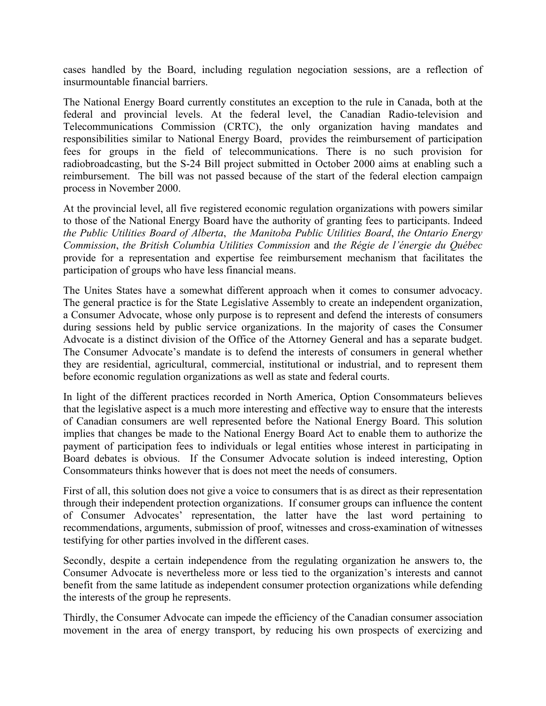cases handled by the Board, including regulation negociation sessions, are a reflection of insurmountable financial barriers.

The National Energy Board currently constitutes an exception to the rule in Canada, both at the federal and provincial levels. At the federal level, the Canadian Radio-television and Telecommunications Commission (CRTC), the only organization having mandates and responsibilities similar to National Energy Board, provides the reimbursement of participation fees for groups in the field of telecommunications. There is no such provision for radiobroadcasting, but the S-24 Bill project submitted in October 2000 aims at enabling such a reimbursement. The bill was not passed because of the start of the federal election campaign process in November 2000.

At the provincial level, all five registered economic regulation organizations with powers similar to those of the National Energy Board have the authority of granting fees to participants. Indeed *the Public Utilities Board of Alberta*, *the Manitoba Public Utilities Board*, *the Ontario Energy Commission*, *the British Columbia Utilities Commission* and *the Régie de l'énergie du Québec* provide for a representation and expertise fee reimbursement mechanism that facilitates the participation of groups who have less financial means.

The Unites States have a somewhat different approach when it comes to consumer advocacy. The general practice is for the State Legislative Assembly to create an independent organization, a Consumer Advocate, whose only purpose is to represent and defend the interests of consumers during sessions held by public service organizations. In the majority of cases the Consumer Advocate is a distinct division of the Office of the Attorney General and has a separate budget. The Consumer Advocate's mandate is to defend the interests of consumers in general whether they are residential, agricultural, commercial, institutional or industrial, and to represent them before economic regulation organizations as well as state and federal courts.

In light of the different practices recorded in North America, Option Consommateurs believes that the legislative aspect is a much more interesting and effective way to ensure that the interests of Canadian consumers are well represented before the National Energy Board. This solution implies that changes be made to the National Energy Board Act to enable them to authorize the payment of participation fees to individuals or legal entities whose interest in participating in Board debates is obvious. If the Consumer Advocate solution is indeed interesting, Option Consommateurs thinks however that is does not meet the needs of consumers.

First of all, this solution does not give a voice to consumers that is as direct as their representation through their independent protection organizations. If consumer groups can influence the content of Consumer Advocates' representation, the latter have the last word pertaining to recommendations, arguments, submission of proof, witnesses and cross-examination of witnesses testifying for other parties involved in the different cases.

Secondly, despite a certain independence from the regulating organization he answers to, the Consumer Advocate is nevertheless more or less tied to the organization's interests and cannot benefit from the same latitude as independent consumer protection organizations while defending the interests of the group he represents.

Thirdly, the Consumer Advocate can impede the efficiency of the Canadian consumer association movement in the area of energy transport, by reducing his own prospects of exercizing and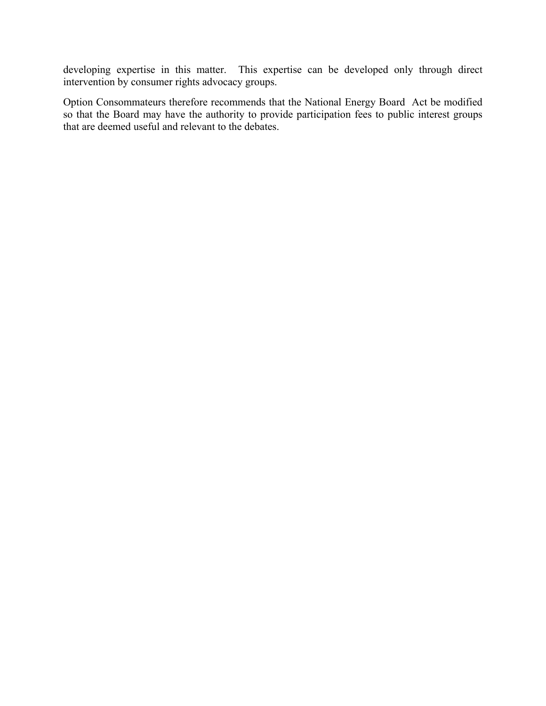developing expertise in this matter. This expertise can be developed only through direct intervention by consumer rights advocacy groups.

Option Consommateurs therefore recommends that the National Energy Board Act be modified so that the Board may have the authority to provide participation fees to public interest groups that are deemed useful and relevant to the debates.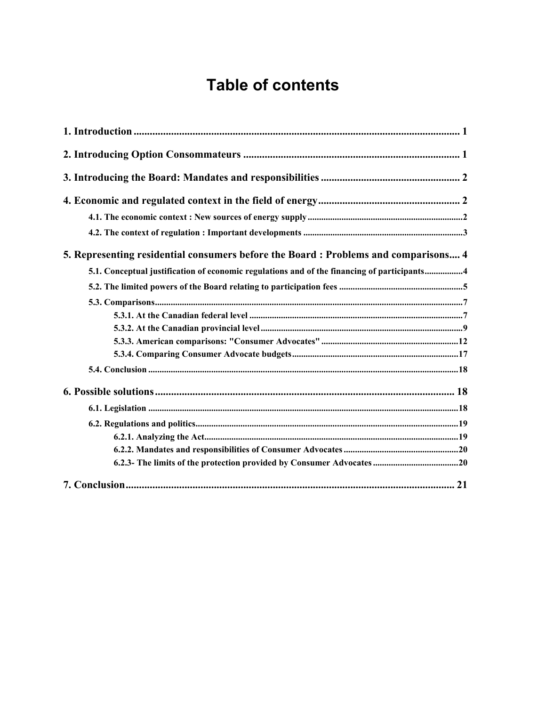# **Table of contents**

| 5. Representing residential consumers before the Board: Problems and comparisons 4          |
|---------------------------------------------------------------------------------------------|
| 5.1. Conceptual justification of economic regulations and of the financing of participants4 |
|                                                                                             |
|                                                                                             |
|                                                                                             |
|                                                                                             |
|                                                                                             |
|                                                                                             |
|                                                                                             |
|                                                                                             |
|                                                                                             |
|                                                                                             |
|                                                                                             |
|                                                                                             |
|                                                                                             |
|                                                                                             |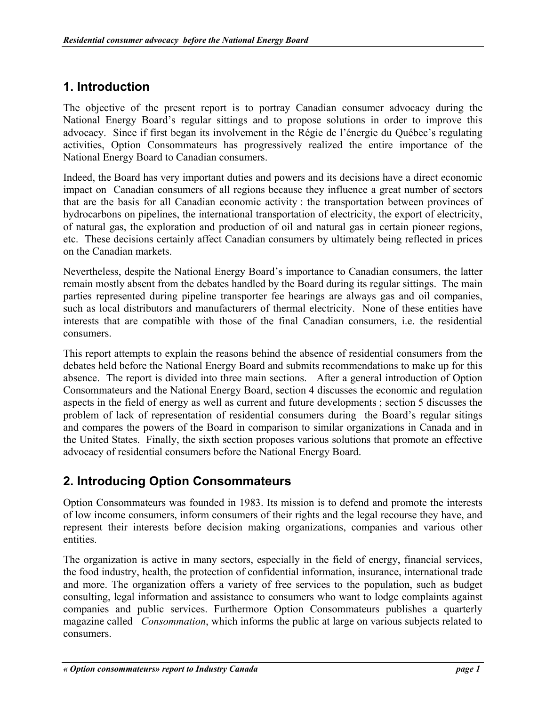# **1. Introduction**

The objective of the present report is to portray Canadian consumer advocacy during the National Energy Board's regular sittings and to propose solutions in order to improve this advocacy. Since if first began its involvement in the Régie de l'énergie du Québec's regulating activities, Option Consommateurs has progressively realized the entire importance of the National Energy Board to Canadian consumers.

Indeed, the Board has very important duties and powers and its decisions have a direct economic impact on Canadian consumers of all regions because they influence a great number of sectors that are the basis for all Canadian economic activity : the transportation between provinces of hydrocarbons on pipelines, the international transportation of electricity, the export of electricity, of natural gas, the exploration and production of oil and natural gas in certain pioneer regions, etc. These decisions certainly affect Canadian consumers by ultimately being reflected in prices on the Canadian markets.

Nevertheless, despite the National Energy Board's importance to Canadian consumers, the latter remain mostly absent from the debates handled by the Board during its regular sittings. The main parties represented during pipeline transporter fee hearings are always gas and oil companies, such as local distributors and manufacturers of thermal electricity. None of these entities have interests that are compatible with those of the final Canadian consumers, i.e. the residential consumers.

This report attempts to explain the reasons behind the absence of residential consumers from the debates held before the National Energy Board and submits recommendations to make up for this absence. The report is divided into three main sections. After a general introduction of Option Consommateurs and the National Energy Board, section 4 discusses the economic and regulation aspects in the field of energy as well as current and future developments ; section 5 discusses the problem of lack of representation of residential consumers during the Board's regular sitings and compares the powers of the Board in comparison to similar organizations in Canada and in the United States. Finally, the sixth section proposes various solutions that promote an effective advocacy of residential consumers before the National Energy Board.

# **2. Introducing Option Consommateurs**

Option Consommateurs was founded in 1983. Its mission is to defend and promote the interests of low income consumers, inform consumers of their rights and the legal recourse they have, and represent their interests before decision making organizations, companies and various other entities.

The organization is active in many sectors, especially in the field of energy, financial services, the food industry, health, the protection of confidential information, insurance, international trade and more. The organization offers a variety of free services to the population, such as budget consulting, legal information and assistance to consumers who want to lodge complaints against companies and public services. Furthermore Option Consommateurs publishes a quarterly magazine called *Consommation*, which informs the public at large on various subjects related to consumers.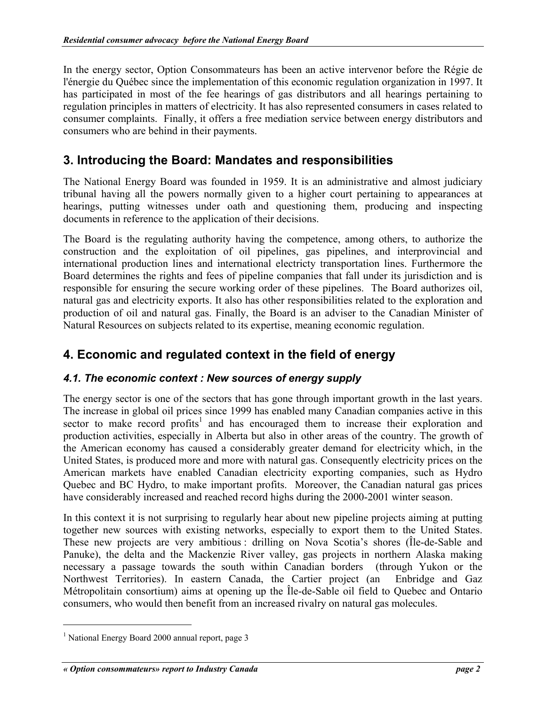In the energy sector, Option Consommateurs has been an active intervenor before the Régie de l'énergie du Québec since the implementation of this economic regulation organization in 1997. It has participated in most of the fee hearings of gas distributors and all hearings pertaining to regulation principles in matters of electricity. It has also represented consumers in cases related to consumer complaints. Finally, it offers a free mediation service between energy distributors and consumers who are behind in their payments.

# **3. Introducing the Board: Mandates and responsibilities**

The National Energy Board was founded in 1959. It is an administrative and almost judiciary tribunal having all the powers normally given to a higher court pertaining to appearances at hearings, putting witnesses under oath and questioning them, producing and inspecting documents in reference to the application of their decisions.

The Board is the regulating authority having the competence, among others, to authorize the construction and the exploitation of oil pipelines, gas pipelines, and interprovincial and international production lines and international electricty transportation lines. Furthermore the Board determines the rights and fees of pipeline companies that fall under its jurisdiction and is responsible for ensuring the secure working order of these pipelines. The Board authorizes oil, natural gas and electricity exports. It also has other responsibilities related to the exploration and production of oil and natural gas. Finally, the Board is an adviser to the Canadian Minister of Natural Resources on subjects related to its expertise, meaning economic regulation.

# **4. Economic and regulated context in the field of energy**

# *4.1. The economic context : New sources of energy supply*

The energy sector is one of the sectors that has gone through important growth in the last years. The increase in global oil prices since 1999 has enabled many Canadian companies active in this sector to make record profits<sup>[1](#page-7-0)</sup> and has encouraged them to increase their exploration and production activities, especially in Alberta but also in other areas of the country. The growth of the American economy has caused a considerably greater demand for electricity which, in the United States, is produced more and more with natural gas. Consequently electricity prices on the American markets have enabled Canadian electricity exporting companies, such as Hydro Quebec and BC Hydro, to make important profits. Moreover, the Canadian natural gas prices have considerably increased and reached record highs during the 2000-2001 winter season.

In this context it is not surprising to regularly hear about new pipeline projects aiming at putting together new sources with existing networks, especially to export them to the United States. These new projects are very ambitious : drilling on Nova Scotia's shores (Île-de-Sable and Panuke), the delta and the Mackenzie River valley, gas projects in northern Alaska making necessary a passage towards the south within Canadian borders (through Yukon or the Northwest Territories). In eastern Canada, the Cartier project (an Enbridge and Gaz Métropolitain consortium) aims at opening up the Île-de-Sable oil field to Quebec and Ontario consumers, who would then benefit from an increased rivalry on natural gas molecules.

<span id="page-7-0"></span><sup>&</sup>lt;sup>1</sup> National Energy Board 2000 annual report, page 3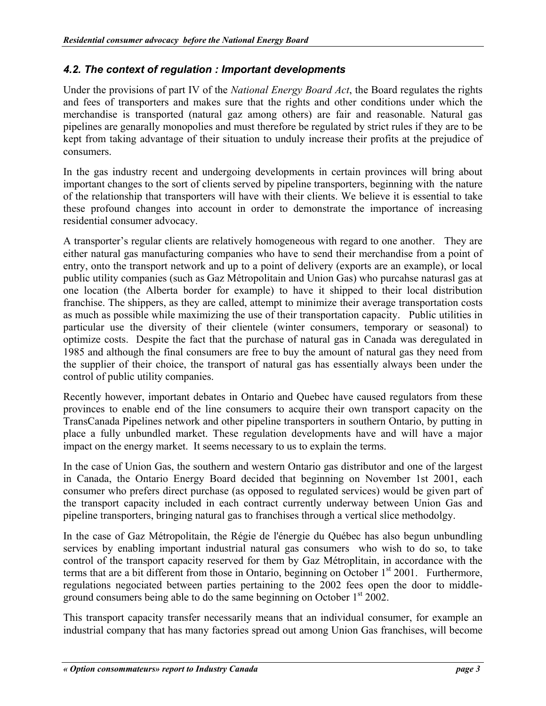# <span id="page-8-0"></span>*4.2. The context of regulation : Important developments*

Under the provisions of part IV of the *National Energy Board Act*, the Board regulates the rights and fees of transporters and makes sure that the rights and other conditions under which the merchandise is transported (natural gaz among others) are fair and reasonable. Natural gas pipelines are genarally monopolies and must therefore be regulated by strict rules if they are to be kept from taking advantage of their situation to unduly increase their profits at the prejudice of consumers.

In the gas industry recent and undergoing developments in certain provinces will bring about important changes to the sort of clients served by pipeline transporters, beginning with the nature of the relationship that transporters will have with their clients. We believe it is essential to take these profound changes into account in order to demonstrate the importance of increasing residential consumer advocacy.

A transporter's regular clients are relatively homogeneous with regard to one another. They are either natural gas manufacturing companies who have to send their merchandise from a point of entry, onto the transport network and up to a point of delivery (exports are an example), or local public utility companies (such as Gaz Métropolitain and Union Gas) who purcahse naturasl gas at one location (the Alberta border for example) to have it shipped to their local distribution franchise. The shippers, as they are called, attempt to minimize their average transportation costs as much as possible while maximizing the use of their transportation capacity. Public utilities in particular use the diversity of their clientele (winter consumers, temporary or seasonal) to optimize costs. Despite the fact that the purchase of natural gas in Canada was deregulated in 1985 and although the final consumers are free to buy the amount of natural gas they need from the supplier of their choice, the transport of natural gas has essentially always been under the control of public utility companies.

Recently however, important debates in Ontario and Quebec have caused regulators from these provinces to enable end of the line consumers to acquire their own transport capacity on the TransCanada Pipelines network and other pipeline transporters in southern Ontario, by putting in place a fully unbundled market. These regulation developments have and will have a major impact on the energy market. It seems necessary to us to explain the terms.

In the case of Union Gas, the southern and western Ontario gas distributor and one of the largest in Canada, the Ontario Energy Board decided that beginning on November 1st 2001, each consumer who prefers direct purchase (as opposed to regulated services) would be given part of the transport capacity included in each contract currently underway between Union Gas and pipeline transporters, bringing natural gas to franchises through a vertical slice methodolgy.

In the case of Gaz Métropolitain, the Régie de l'énergie du Québec has also begun unbundling services by enabling important industrial natural gas consumers who wish to do so, to take control of the transport capacity reserved for them by Gaz Métroplitain, in accordance with the terms that are a bit different from those in Ontario, beginning on October  $1<sup>st</sup>$  2001. Furthermore, regulations negociated between parties pertaining to the 2002 fees open the door to middleground consumers being able to do the same beginning on October  $1<sup>st</sup> 2002$ .

This transport capacity transfer necessarily means that an individual consumer, for example an industrial company that has many factories spread out among Union Gas franchises, will become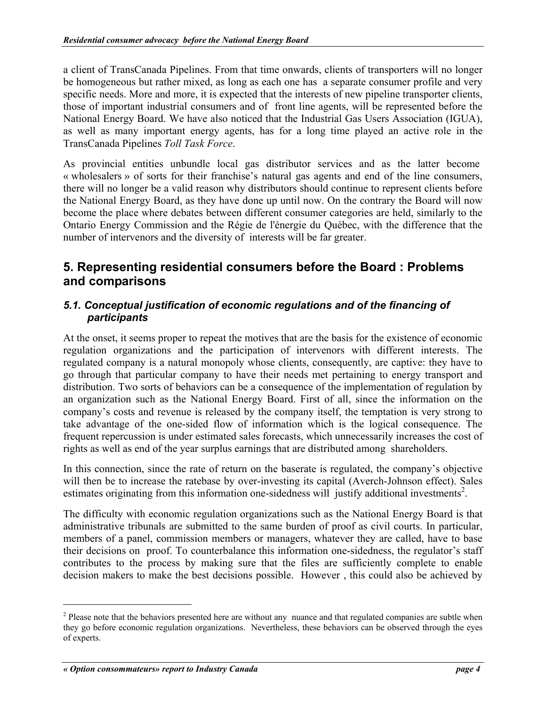<span id="page-9-0"></span>a client of TransCanada Pipelines. From that time onwards, clients of transporters will no longer be homogeneous but rather mixed, as long as each one has a separate consumer profile and very specific needs. More and more, it is expected that the interests of new pipeline transporter clients, those of important industrial consumers and of front line agents, will be represented before the National Energy Board. We have also noticed that the Industrial Gas Users Association (IGUA), as well as many important energy agents, has for a long time played an active role in the TransCanada Pipelines *Toll Task Force*.

As provincial entities unbundle local gas distributor services and as the latter become « wholesalers » of sorts for their franchise's natural gas agents and end of the line consumers, there will no longer be a valid reason why distributors should continue to represent clients before the National Energy Board, as they have done up until now. On the contrary the Board will now become the place where debates between different consumer categories are held, similarly to the Ontario Energy Commission and the Régie de l'énergie du Québec, with the difference that the number of intervenors and the diversity of interests will be far greater.

# **5. Representing residential consumers before the Board : Problems and comparisons**

# *5.1. Conceptual justification of economic regulations and of the financing of participants*

At the onset, it seems proper to repeat the motives that are the basis for the existence of economic regulation organizations and the participation of intervenors with different interests. The regulated company is a natural monopoly whose clients, consequently, are captive: they have to go through that particular company to have their needs met pertaining to energy transport and distribution. Two sorts of behaviors can be a consequence of the implementation of regulation by an organization such as the National Energy Board. First of all, since the information on the company's costs and revenue is released by the company itself, the temptation is very strong to take advantage of the one-sided flow of information which is the logical consequence. The frequent repercussion is under estimated sales forecasts, which unnecessarily increases the cost of rights as well as end of the year surplus earnings that are distributed among shareholders.

In this connection, since the rate of return on the baserate is regulated, the company's objective will then be to increase the ratebase by over-investing its capital (Averch-Johnson effect). Sales estimates originating from this information one-sidedness will justify additional investments<sup>[2](#page-9-1)</sup>.

The difficulty with economic regulation organizations such as the National Energy Board is that administrative tribunals are submitted to the same burden of proof as civil courts. In particular, members of a panel, commission members or managers, whatever they are called, have to base their decisions on proof. To counterbalance this information one-sidedness, the regulator's staff contributes to the process by making sure that the files are sufficiently complete to enable decision makers to make the best decisions possible. However , this could also be achieved by

<span id="page-9-1"></span> $2<sup>2</sup>$  Please note that the behaviors presented here are without any nuance and that regulated companies are subtle when they go before economic regulation organizations. Nevertheless, these behaviors can be observed through the eyes of experts.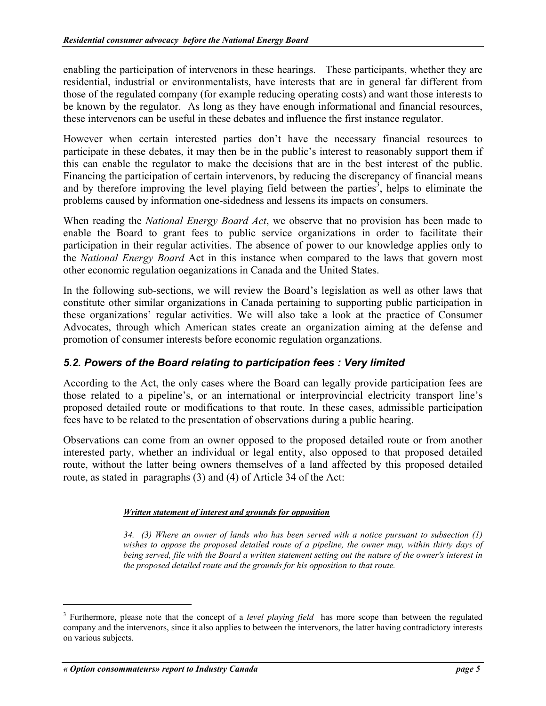<span id="page-10-0"></span>enabling the participation of intervenors in these hearings. These participants, whether they are residential, industrial or environmentalists, have interests that are in general far different from those of the regulated company (for example reducing operating costs) and want those interests to be known by the regulator. As long as they have enough informational and financial resources, these intervenors can be useful in these debates and influence the first instance regulator.

However when certain interested parties don't have the necessary financial resources to participate in these debates, it may then be in the public's interest to reasonably support them if this can enable the regulator to make the decisions that are in the best interest of the public. Financing the participation of certain intervenors, by reducing the discrepancy of financial means and by therefore improving the level playing field between the parties<sup>[3](#page-10-1)</sup>, helps to eliminate the problems caused by information one-sidedness and lessens its impacts on consumers.

When reading the *National Energy Board Act*, we observe that no provision has been made to enable the Board to grant fees to public service organizations in order to facilitate their participation in their regular activities. The absence of power to our knowledge applies only to the *National Energy Board* Act in this instance when compared to the laws that govern most other economic regulation oeganizations in Canada and the United States.

In the following sub-sections, we will review the Board's legislation as well as other laws that constitute other similar organizations in Canada pertaining to supporting public participation in these organizations' regular activities. We will also take a look at the practice of Consumer Advocates, through which American states create an organization aiming at the defense and promotion of consumer interests before economic regulation organzations.

# *5.2. Powers of the Board relating to participation fees : Very limited*

According to the Act, the only cases where the Board can legally provide participation fees are those related to a pipeline's, or an international or interprovincial electricity transport line's proposed detailed route or modifications to that route. In these cases, admissible participation fees have to be related to the presentation of observations during a public hearing.

Observations can come from an owner opposed to the proposed detailed route or from another interested party, whether an individual or legal entity, also opposed to that proposed detailed route, without the latter being owners themselves of a land affected by this proposed detailed route, as stated in paragraphs (3) and (4) of Article 34 of the Act:

### *Written statement of interest and grounds for opposition*

*34. (3) Where an owner of lands who has been served with a notice pursuant to subsection (1) wishes to oppose the proposed detailed route of a pipeline, the owner may, within thirty days of being served, file with the Board a written statement setting out the nature of the owner's interest in the proposed detailed route and the grounds for his opposition to that route.* 

<span id="page-10-1"></span><sup>&</sup>lt;sup>3</sup> Furthermore, please note that the concept of a *level playing field* has more scope than between the regulated company and the intervenors, since it also applies to between the intervenors, the latter having contradictory interests on various subjects.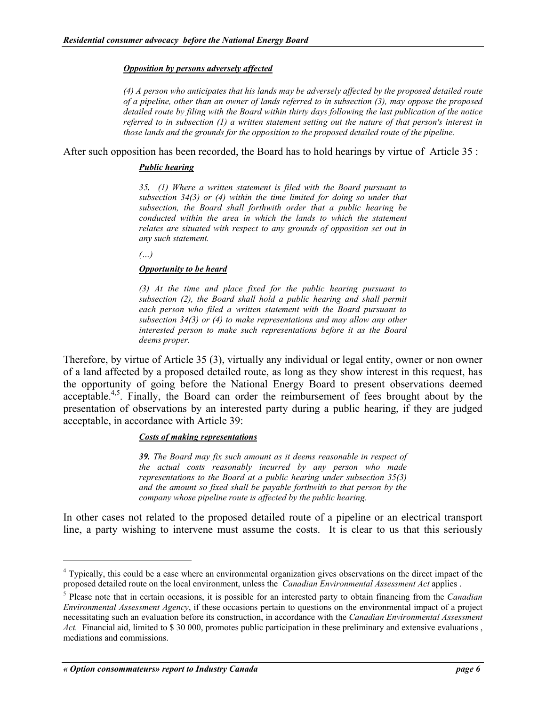#### *Opposition by persons adversely affected*

*(4) A person who anticipates that his lands may be adversely affected by the proposed detailed route of a pipeline, other than an owner of lands referred to in subsection (3), may oppose the proposed detailed route by filing with the Board within thirty days following the last publication of the notice referred to in subsection (1) a written statement setting out the nature of that person's interest in those lands and the grounds for the opposition to the proposed detailed route of the pipeline.* 

After such opposition has been recorded, the Board has to hold hearings by virtue of Article 35 :

#### *Public hearing*

*35. (1) Where a written statement is filed with the Board pursuant to subsection 34(3) or (4) within the time limited for doing so under that subsection, the Board shall forthwith order that a public hearing be conducted within the area in which the lands to which the statement relates are situated with respect to any grounds of opposition set out in any such statement.*

*(…)*

#### *Opportunity to be heard*

*(3) At the time and place fixed for the public hearing pursuant to subsection (2), the Board shall hold a public hearing and shall permit each person who filed a written statement with the Board pursuant to subsection 34(3) or (4) to make representations and may allow any other interested person to make such representations before it as the Board deems proper.* 

Therefore, by virtue of Article 35 (3), virtually any individual or legal entity, owner or non owner of a land affected by a proposed detailed route, as long as they show interest in this request, has the opportunity of going before the National Energy Board to present observations deemed acceptable.<sup>4,5</sup>[.](#page-11-1) Finally, the Board can order the reimbursement of fees brought about by the presentation of observations by an interested party during a public hearing, if they are judged acceptable, in accordance with Article 39:

### *Costs of making representations*

*39. The Board may fix such amount as it deems reasonable in respect of the actual costs reasonably incurred by any person who made representations to the Board at a public hearing under subsection 35(3) and the amount so fixed shall be payable forthwith to that person by the company whose pipeline route is affected by the public hearing.*

In other cases not related to the proposed detailed route of a pipeline or an electrical transport line, a party wishing to intervene must assume the costs. It is clear to us that this seriously

<span id="page-11-0"></span><sup>&</sup>lt;sup>4</sup> Typically, this could be a case where an environmental organization gives observations on the direct impact of the proposed detailed route on the local environment, unless the *Canadian Environmental Assessment Act* applies .

<span id="page-11-1"></span><sup>5</sup> Please note that in certain occasions, it is possible for an interested party to obtain financing from the *Canadian Environmental Assessment Agency*, if these occasions pertain to questions on the environmental impact of a project necessitating such an evaluation before its construction, in accordance with the *Canadian Environmental Assessment Act.* Financial aid, limited to \$ 30 000, promotes public participation in these preliminary and extensive evaluations , mediations and commissions.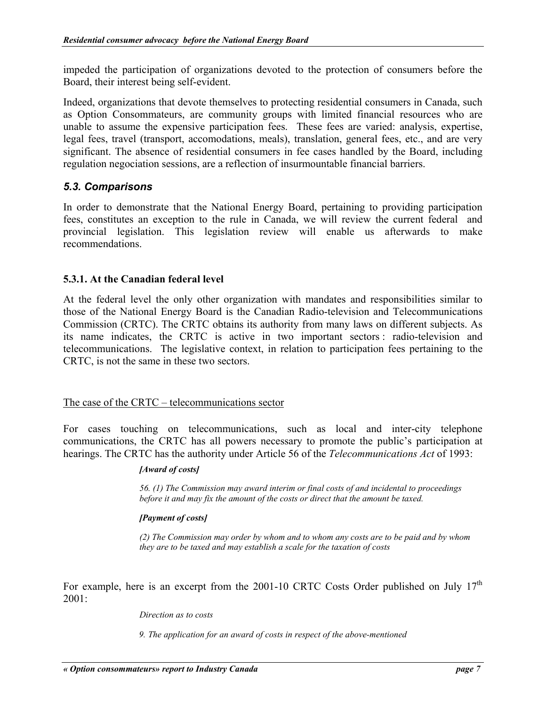<span id="page-12-0"></span>impeded the participation of organizations devoted to the protection of consumers before the Board, their interest being self-evident.

Indeed, organizations that devote themselves to protecting residential consumers in Canada, such as Option Consommateurs, are community groups with limited financial resources who are unable to assume the expensive participation fees. These fees are varied: analysis, expertise, legal fees, travel (transport, accomodations, meals), translation, general fees, etc., and are very significant. The absence of residential consumers in fee cases handled by the Board, including regulation negociation sessions, are a reflection of insurmountable financial barriers.

# *5.3. Comparisons*

In order to demonstrate that the National Energy Board, pertaining to providing participation fees, constitutes an exception to the rule in Canada, we will review the current federal and provincial legislation. This legislation review will enable us afterwards to make recommendations.

# **5.3.1. At the Canadian federal level**

At the federal level the only other organization with mandates and responsibilities similar to those of the National Energy Board is the Canadian Radio-television and Telecommunications Commission (CRTC). The CRTC obtains its authority from many laws on different subjects. As its name indicates, the CRTC is active in two important sectors : radio-television and telecommunications. The legislative context, in relation to participation fees pertaining to the CRTC, is not the same in these two sectors.

## The case of the CRTC – telecommunications sector

For cases touching on telecommunications, such as local and inter-city telephone communications, the CRTC has all powers necessary to promote the public's participation at hearings. The CRTC has the authority under Article 56 of the *Telecommunications Act* of 1993:

### *[Award of costs]*

*56. (1) The Commission may award interim or final costs of and incidental to proceedings before it and may fix the amount of the costs or direct that the amount be taxed.* 

### *[Payment of costs]*

*(2) The Commission may order by whom and to whom any costs are to be paid and by whom they are to be taxed and may establish a scale for the taxation of costs* 

For example, here is an excerpt from the 2001-10 CRTC Costs Order published on July 17<sup>th</sup> 2001:

#### *Direction as to costs*

*9. The application for an award of costs in respect of the above-mentioned*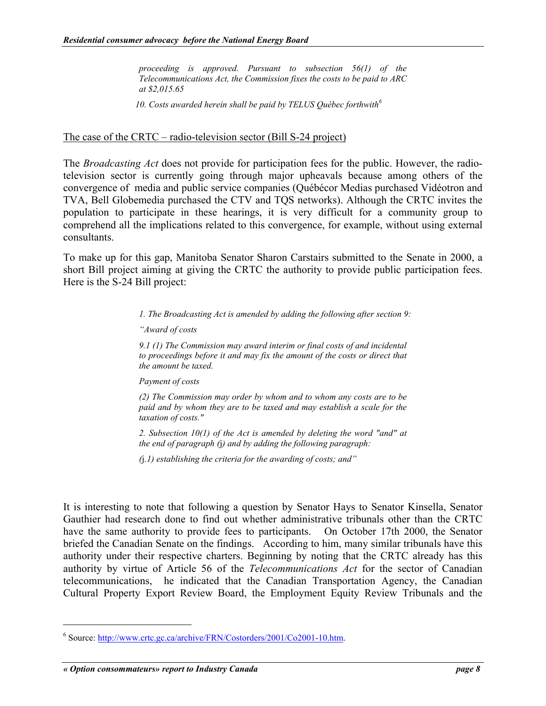*proceeding is approved. Pursuant to subsection 56(1) of the Telecommunications Act, the Commission fixes the costs to be paid to ARC at \$2,015.65* 

*10. Costs awarded herein shall be paid by TELUS Québec forthwith[6](#page-13-0)*

### The case of the CRTC – radio-television sector (Bill S-24 project)

The *Broadcasting Act* does not provide for participation fees for the public. However, the radiotelevision sector is currently going through major upheavals because among others of the convergence of media and public service companies (Québécor Medias purchased Vidéotron and TVA, Bell Globemedia purchased the CTV and TQS networks). Although the CRTC invites the population to participate in these hearings, it is very difficult for a community group to comprehend all the implications related to this convergence, for example, without using external consultants.

To make up for this gap, Manitoba Senator Sharon Carstairs submitted to the Senate in 2000, a short Bill project aiming at giving the CRTC the authority to provide public participation fees. Here is the S-24 Bill project:

*1. The Broadcasting Act is amended by adding the following after section 9:* 

*"Award of costs* 

*9.1 (1) The Commission may award interim or final costs of and incidental to proceedings before it and may fix the amount of the costs or direct that the amount be taxed.*

*Payment of costs*

*(2) The Commission may order by whom and to whom any costs are to be paid and by whom they are to be taxed and may establish a scale for the taxation of costs."*

*2. Subsection 10(1) of the Act is amended by deleting the word "and" at the end of paragraph (*j*) and by adding the following paragraph:*

*(*j*.1) establishing the criteria for the awarding of costs; and"* 

It is interesting to note that following a question by Senator Hays to Senator Kinsella, Senator Gauthier had research done to find out whether administrative tribunals other than the CRTC have the same authority to provide fees to participants. On October 17th 2000, the Senator briefed the Canadian Senate on the findings. According to him, many similar tribunals have this authority under their respective charters. Beginning by noting that the CRTC already has this authority by virtue of Article 56 of the *Telecommunications Act* for the sector of Canadian telecommunications, he indicated that the Canadian Transportation Agency, the Canadian Cultural Property Export Review Board, the Employment Equity Review Tribunals and the

<span id="page-13-0"></span><sup>&</sup>lt;sup>6</sup> Source: http://www.crtc.gc.ca/archive/FRN/Costorders/2001/Co2001-10.htm.

*<sup>«</sup> Option consommateurs» report to Industry Canada page 8*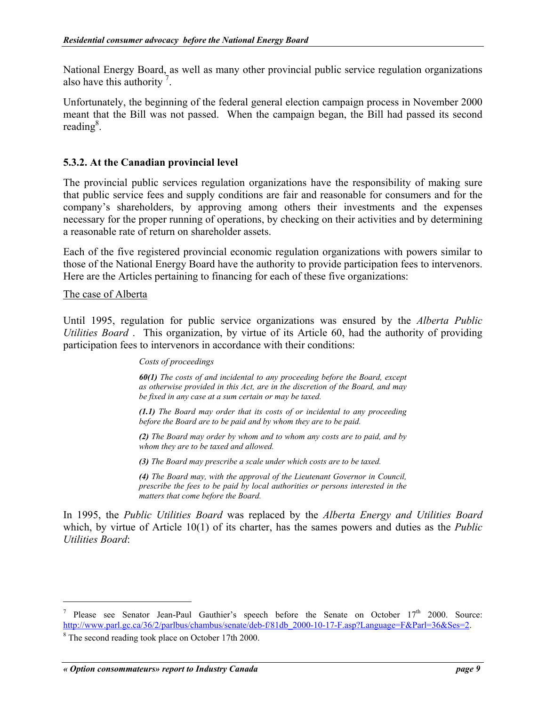<span id="page-14-0"></span>National Energy Board, as well as many other provincial public service regulation organizations also have this authority<sup>[7](#page-14-1)</sup>.

Unfortunately, the beginning of the federal general election campaign process in November 2000 meant that the Bill was not passed. When the campaign began, the Bill had passed its second reading<sup>[8](#page-14-2)</sup>.

### **5.3.2. At the Canadian provincial level**

The provincial public services regulation organizations have the responsibility of making sure that public service fees and supply conditions are fair and reasonable for consumers and for the company's shareholders, by approving among others their investments and the expenses necessary for the proper running of operations, by checking on their activities and by determining a reasonable rate of return on shareholder assets.

Each of the five registered provincial economic regulation organizations with powers similar to those of the National Energy Board have the authority to provide participation fees to intervenors. Here are the Articles pertaining to financing for each of these five organizations:

### The case of Alberta

 $\overline{a}$ 

Until 1995, regulation for public service organizations was ensured by the *Alberta Public Utilities Board* . This organization, by virtue of its Article 60, had the authority of providing participation fees to intervenors in accordance with their conditions:

#### *Costs of proceedings*

*60(1) The costs of and incidental to any proceeding before the Board, except as otherwise provided in this Act, are in the discretion of the Board, and may be fixed in any case at a sum certain or may be taxed.* 

*(1.1) The Board may order that its costs of or incidental to any proceeding before the Board are to be paid and by whom they are to be paid.* 

*(2) The Board may order by whom and to whom any costs are to paid, and by whom they are to be taxed and allowed.* 

*(3) The Board may prescribe a scale under which costs are to be taxed.* 

*(4) The Board may, with the approval of the Lieutenant Governor in Council, prescribe the fees to be paid by local authorities or persons interested in the matters that come before the Board.* 

In 1995, the *Public Utilities Board* was replaced by the *Alberta Energy and Utilities Board* which, by virtue of Article 10(1) of its charter, has the sames powers and duties as the *Public Utilities Board*:

<span id="page-14-1"></span><sup>7</sup> Please see Senator Jean-Paul Gauthier's speech before the Senate on October  $17<sup>th</sup>$  2000. Source: http://www.parl.gc.ca/36/2/parlbus/chambus/senate/deb-f/81db\_2000-10-17-F.asp?Language=F&Parl=36&Ses=2. <sup>8</sup> The second reading took place on October 17th 2000.

<span id="page-14-2"></span>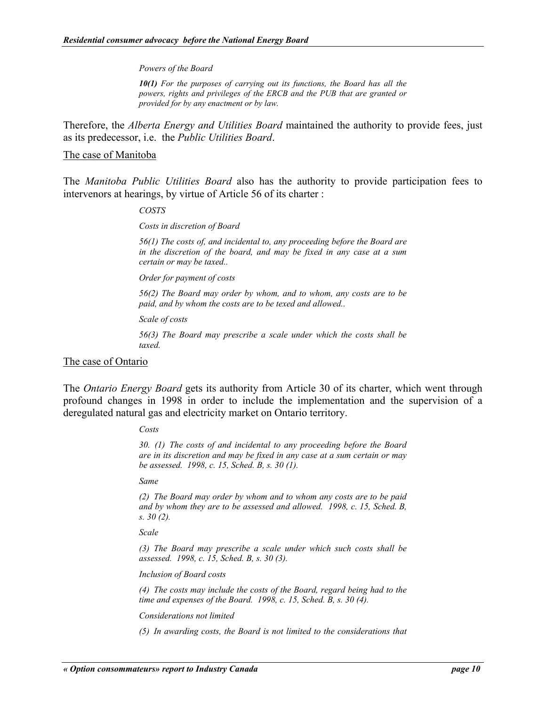#### *Powers of the Board*

*10(1) For the purposes of carrying out its functions, the Board has all the powers, rights and privileges of the ERCB and the PUB that are granted or provided for by any enactment or by law.* 

Therefore, the *Alberta Energy and Utilities Board* maintained the authority to provide fees, just as its predecessor, i.e. the *Public Utilities Board*.

#### The case of Manitoba

The *Manitoba Public Utilities Board* also has the authority to provide participation fees to intervenors at hearings, by virtue of Article 56 of its charter :

#### *COSTS*

*Costs in discretion of Board* 

*56(1) The costs of, and incidental to, any proceeding before the Board are in the discretion of the board, and may be fixed in any case at a sum certain or may be taxed..* 

*Order for payment of costs* 

*56(2) The Board may order by whom, and to whom, any costs are to be paid, and by whom the costs are to be texed and allowed..* 

*Scale of costs* 

*56(3) The Board may prescribe a scale under which the costs shall be taxed.* 

#### The case of Ontario

The *Ontario Energy Board* gets its authority from Article 30 of its charter, which went through profound changes in 1998 in order to include the implementation and the supervision of a deregulated natural gas and electricity market on Ontario territory.

#### *Costs*

*30. (1) The costs of and incidental to any proceeding before the Board are in its discretion and may be fixed in any case at a sum certain or may be assessed. 1998, c. 15, Sched. B, s. 30 (1).*

*Same* 

*(2) The Board may order by whom and to whom any costs are to be paid and by whom they are to be assessed and allowed. 1998, c. 15, Sched. B, s. 30 (2).*

*Scale* 

*(3) The Board may prescribe a scale under which such costs shall be assessed. 1998, c. 15, Sched. B, s. 30 (3).*

*Inclusion of Board costs* 

*(4) The costs may include the costs of the Board, regard being had to the time and expenses of the Board. 1998, c. 15, Sched. B, s. 30 (4).*

*Considerations not limited*

*(5) In awarding costs, the Board is not limited to the considerations that*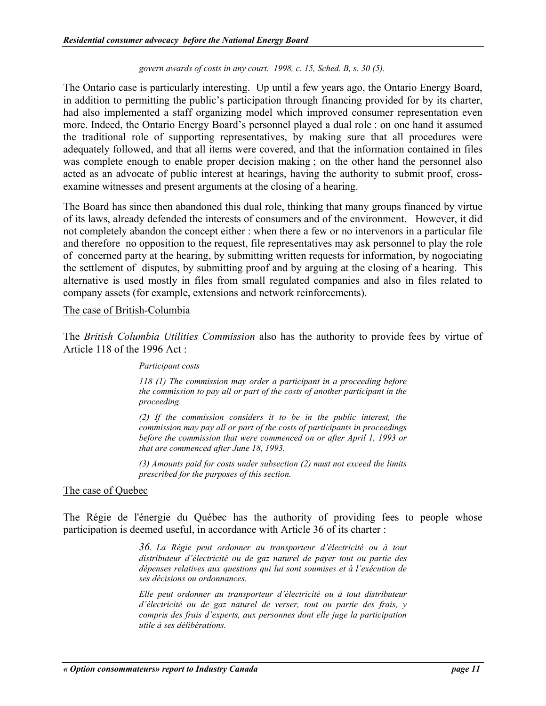#### *govern awards of costs in any court. 1998, c. 15, Sched. B, s. 30 (5).*

The Ontario case is particularly interesting. Up until a few years ago, the Ontario Energy Board, in addition to permitting the public's participation through financing provided for by its charter, had also implemented a staff organizing model which improved consumer representation even more. Indeed, the Ontario Energy Board's personnel played a dual role : on one hand it assumed the traditional role of supporting representatives, by making sure that all procedures were adequately followed, and that all items were covered, and that the information contained in files was complete enough to enable proper decision making ; on the other hand the personnel also acted as an advocate of public interest at hearings, having the authority to submit proof, crossexamine witnesses and present arguments at the closing of a hearing.

The Board has since then abandoned this dual role, thinking that many groups financed by virtue of its laws, already defended the interests of consumers and of the environment. However, it did not completely abandon the concept either : when there a few or no intervenors in a particular file and therefore no opposition to the request, file representatives may ask personnel to play the role of concerned party at the hearing, by submitting written requests for information, by nogociating the settlement of disputes, by submitting proof and by arguing at the closing of a hearing. This alternative is used mostly in files from small regulated companies and also in files related to company assets (for example, extensions and network reinforcements).

#### The case of British-Columbia

The *British Columbia Utilities Commission* also has the authority to provide fees by virtue of Article 118 of the 1996 Act :

#### *Participant costs*

*118 (1) The commission may order a participant in a proceeding before the commission to pay all or part of the costs of another participant in the proceeding.* 

*(2) If the commission considers it to be in the public interest, the commission may pay all or part of the costs of participants in proceedings before the commission that were commenced on or after April 1, 1993 or that are commenced after June 18, 1993.* 

*(3) Amounts paid for costs under subsection (2) must not exceed the limits prescribed for the purposes of this section.* 

### The case of Quebec

The Régie de l'énergie du Québec has the authority of providing fees to people whose participation is deemed useful, in accordance with Article 36 of its charter :

> *36. La Régie peut ordonner au transporteur d'électricité ou à tout distributeur d'électricité ou de gaz naturel de payer tout ou partie des dépenses relatives aux questions qui lui sont soumises et à l'exécution de ses décisions ou ordonnances.*

> *Elle peut ordonner au transporteur d'électricité ou à tout distributeur d'électricité ou de gaz naturel de verser, tout ou partie des frais, y compris des frais d'experts, aux personnes dont elle juge la participation utile à ses délibérations.*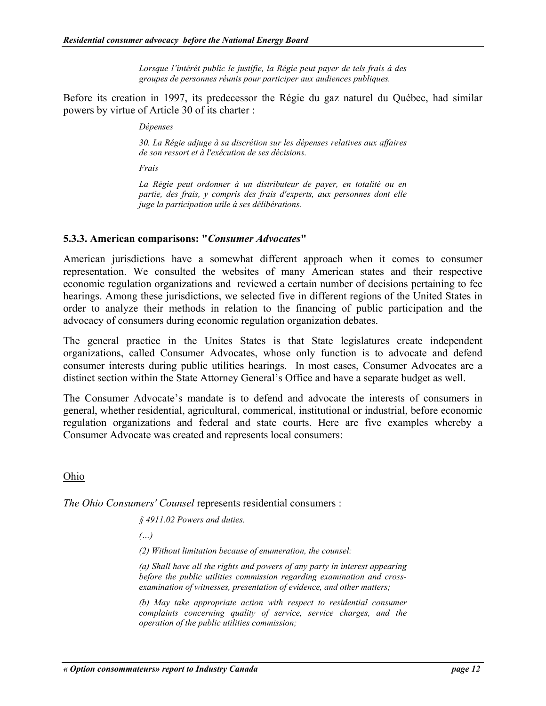*Lorsque l'intérêt public le justifie, la Régie peut payer de tels frais à des groupes de personnes réunis pour participer aux audiences publiques.*

<span id="page-17-0"></span>Before its creation in 1997, its predecessor the Régie du gaz naturel du Québec, had similar powers by virtue of Article 30 of its charter :

*Dépenses* 

*30. La Régie adjuge à sa discrétion sur les dépenses relatives aux affaires de son ressort et à l'exécution de ses décisions.* 

*Frais* 

*La Régie peut ordonner à un distributeur de payer, en totalité ou en partie, des frais, y compris des frais d'experts, aux personnes dont elle juge la participation utile à ses délibérations.* 

## **5.3.3. American comparisons: "***Consumer Advocates***"**

American jurisdictions have a somewhat different approach when it comes to consumer representation. We consulted the websites of many American states and their respective economic regulation organizations and reviewed a certain number of decisions pertaining to fee hearings. Among these jurisdictions, we selected five in different regions of the United States in order to analyze their methods in relation to the financing of public participation and the advocacy of consumers during economic regulation organization debates.

The general practice in the Unites States is that State legislatures create independent organizations, called Consumer Advocates, whose only function is to advocate and defend consumer interests during public utilities hearings. In most cases, Consumer Advocates are a distinct section within the State Attorney General's Office and have a separate budget as well.

The Consumer Advocate's mandate is to defend and advocate the interests of consumers in general, whether residential, agricultural, commerical, institutional or industrial, before economic regulation organizations and federal and state courts. Here are five examples whereby a Consumer Advocate was created and represents local consumers:

Ohio

*The Ohio Consumers' Counsel* represents residential consumers :

*§ 4911.02 Powers and duties.* 

*(…)*

*(2) Without limitation because of enumeration, the counsel:*

*(a) Shall have all the rights and powers of any party in interest appearing before the public utilities commission regarding examination and crossexamination of witnesses, presentation of evidence, and other matters;* 

*(b) May take appropriate action with respect to residential consumer complaints concerning quality of service, service charges, and the operation of the public utilities commission;*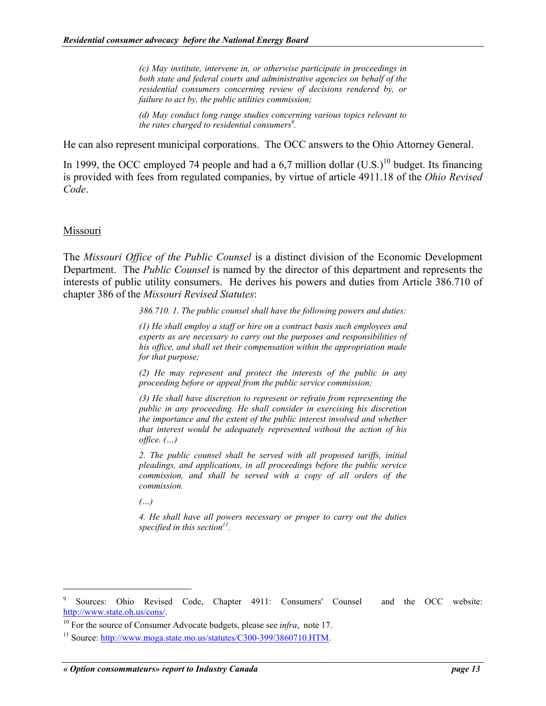*(c) May institute, intervene in, or otherwise participate in proceedings in both state and federal courts and administrative agencies on behalf of the residential consumers concerning review of decisions rendered by, or failure to act by, the public utilities commission;* 

*(d) May conduct long range studies concerning various topics relevant to the rates charged to residential consumers[9](#page-18-0) .* 

He can also represent municipal corporations. The OCC answers to the Ohio Attorney General.

In 1999, the OCC employed 74 people and had a 6,7 million dollar  $(U.S.)^{10}$  budget. Its financing is provided with fees from regulated companies, by virtue of article 4911.18 of the *Ohio Revised Code*.

### Missouri

 $\overline{a}$ 

The *Missouri Office of the Public Counsel* is a distinct division of the Economic Development Department. The *Public Counsel* is named by the director of this department and represents the interests of public utility consumers. He derives his powers and duties from Article 386.710 of chapter 386 of the *Missouri Revised Statutes*:

*386.710. 1. The public counsel shall have the following powers and duties:* 

*(1) He shall employ a staff or hire on a contract basis such employees and experts as are necessary to carry out the purposes and responsibilities of his office, and shall set their compensation within the appropriation made for that purpose;* 

*(2) He may represent and protect the interests of the public in any proceeding before or appeal from the public service commission;* 

*(3) He shall have discretion to represent or refrain from representing the public in any proceeding. He shall consider in exercising his discretion the importance and the extent of the public interest involved and whether that interest would be adequately represented without the action of his office. (…)*

*2. The public counsel shall be served with all proposed tariffs, initial pleadings, and applications, in all proceedings before the public service commission, and shall be served with a copy of all orders of the commission.* 

*(…)*

*4. He shall have all powers necessary or proper to carry out the duties specified in this section[11.](#page-18-2)* 

<span id="page-18-0"></span><sup>9</sup> Sources: Ohio Revised Code, Chapter 4911: Consumers' Counsel and the OCC website: http://www.state.oh.us/cons/.

<span id="page-18-2"></span><span id="page-18-1"></span>

<sup>&</sup>lt;sup>10</sup> For the source of Consumer Advocate budgets, please see *infra*, note 17.<br><sup>11</sup> Source: http://www.moga.state.mo.us/statutes/C300-399/3860710.HTM.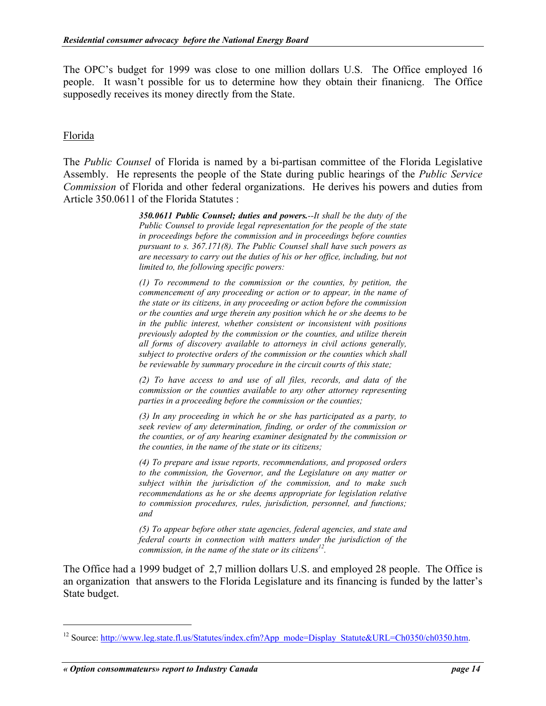The OPC's budget for 1999 was close to one million dollars U.S. The Office employed 16 people. It wasn't possible for us to determine how they obtain their finanicng. The Office supposedly receives its money directly from the State.

## Florida

The *Public Counsel* of Florida is named by a bi-partisan committee of the Florida Legislative Assembly. He represents the people of the State during public hearings of the *Public Service Commission* of Florida and other federal organizations. He derives his powers and duties from Article 350.0611 of the Florida Statutes :

> *350.0611 Public Counsel; duties and powers.--It shall be the duty of the Public Counsel to provide legal representation for the people of the state in proceedings before the commission and in proceedings before counties pursuant to s. 367.171(8). The Public Counsel shall have such powers as are necessary to carry out the duties of his or her office, including, but not limited to, the following specific powers:*

> *(1) To recommend to the commission or the counties, by petition, the commencement of any proceeding or action or to appear, in the name of the state or its citizens, in any proceeding or action before the commission or the counties and urge therein any position which he or she deems to be in the public interest, whether consistent or inconsistent with positions previously adopted by the commission or the counties, and utilize therein all forms of discovery available to attorneys in civil actions generally, subject to protective orders of the commission or the counties which shall be reviewable by summary procedure in the circuit courts of this state;*

> *(2) To have access to and use of all files, records, and data of the commission or the counties available to any other attorney representing parties in a proceeding before the commission or the counties;*

> *(3) In any proceeding in which he or she has participated as a party, to seek review of any determination, finding, or order of the commission or the counties, or of any hearing examiner designated by the commission or the counties, in the name of the state or its citizens;*

> *(4) To prepare and issue reports, recommendations, and proposed orders to the commission, the Governor, and the Legislature on any matter or subject within the jurisdiction of the commission, and to make such recommendations as he or she deems appropriate for legislation relative to commission procedures, rules, jurisdiction, personnel, and functions; and*

> *(5) To appear before other state agencies, federal agencies, and state and federal courts in connection with matters under the jurisdiction of the commission, in the name of the state or its citizens [12.](#page-19-0)*

The Office had a 1999 budget of 2,7 million dollars U.S. and employed 28 people. The Office is an organization that answers to the Florida Legislature and its financing is funded by the latter's State budget.

<span id="page-19-0"></span><sup>&</sup>lt;sup>12</sup> Source: http://www.leg.state.fl.us/Statutes/index.cfm?App\_mode=Display\_Statute&URL=Ch0350/ch0350.htm.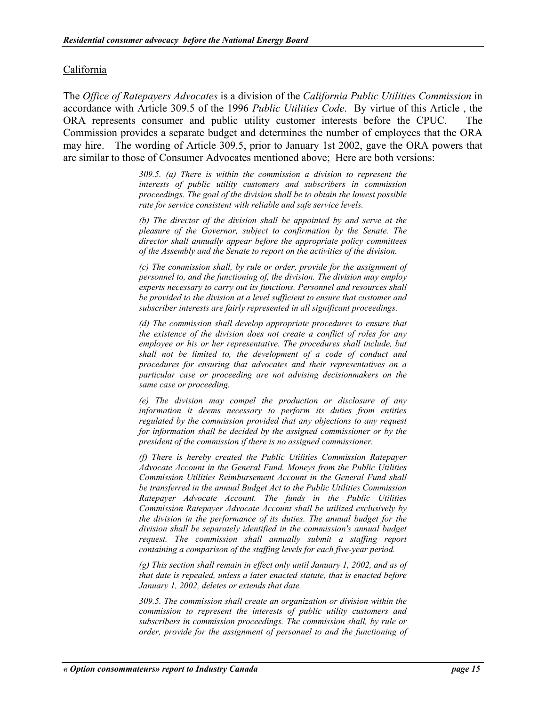### California

The *Office of Ratepayers Advocates* is a division of the *California Public Utilities Commission* in accordance with Article 309.5 of the 1996 *Public Utilities Code*. By virtue of this Article , the ORA represents consumer and public utility customer interests before the CPUC. The Commission provides a separate budget and determines the number of employees that the ORA may hire. The wording of Article 309.5, prior to January 1st 2002, gave the ORA powers that are similar to those of Consumer Advocates mentioned above; Here are both versions:

> *309.5. (a) There is within the commission a division to represent the interests of public utility customers and subscribers in commission proceedings. The goal of the division shall be to obtain the lowest possible rate for service consistent with reliable and safe service levels.*

> *(b) The director of the division shall be appointed by and serve at the pleasure of the Governor, subject to confirmation by the Senate. The director shall annually appear before the appropriate policy committees of the Assembly and the Senate to report on the activities of the division.*

> *(c) The commission shall, by rule or order, provide for the assignment of personnel to, and the functioning of, the division. The division may employ experts necessary to carry out its functions. Personnel and resources shall be provided to the division at a level sufficient to ensure that customer and subscriber interests are fairly represented in all significant proceedings.*

> *(d) The commission shall develop appropriate procedures to ensure that the existence of the division does not create a conflict of roles for any employee or his or her representative. The procedures shall include, but shall not be limited to, the development of a code of conduct and procedures for ensuring that advocates and their representatives on a particular case or proceeding are not advising decisionmakers on the same case or proceeding.*

> *(e) The division may compel the production or disclosure of any information it deems necessary to perform its duties from entities regulated by the commission provided that any objections to any request for information shall be decided by the assigned commissioner or by the president of the commission if there is no assigned commissioner.*

> *(f) There is hereby created the Public Utilities Commission Ratepayer Advocate Account in the General Fund. Moneys from the Public Utilities Commission Utilities Reimbursement Account in the General Fund shall be transferred in the annual Budget Act to the Public Utilities Commission Ratepayer Advocate Account. The funds in the Public Utilities Commission Ratepayer Advocate Account shall be utilized exclusively by the division in the performance of its duties. The annual budget for the division shall be separately identified in the commission's annual budget request. The commission shall annually submit a staffing report containing a comparison of the staffing levels for each five-year period.*

> *(g) This section shall remain in effect only until January 1, 2002, and as of that date is repealed, unless a later enacted statute, that is enacted before January 1, 2002, deletes or extends that date.*

> *309.5. The commission shall create an organization or division within the commission to represent the interests of public utility customers and subscribers in commission proceedings. The commission shall, by rule or order, provide for the assignment of personnel to and the functioning of*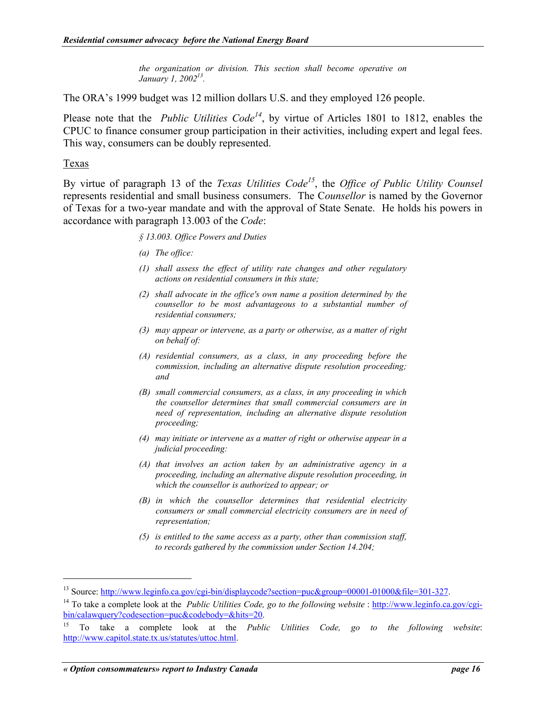*the organization or division. This section shall become operative on January 1, 2002[13.](#page-21-0)* 

The ORA's 1999 budget was 12 million dollars U.S. and they employed 126 people.

Please note that the *Public Utilities Code[14](#page-21-1)*, by virtue of Articles 1801 to 1812, enables the CPUC to finance consumer group participation in their activities, including expert and legal fees. This way, consumers can be doubly represented.

### Texas

 $\overline{a}$ 

By virtue of paragraph 13 of the *Texas Utilities Code[15](#page-21-2)*, the *Office of Public Utility Counsel* represents residential and small business consumers. The C*ounsellor* is named by the Governor of Texas for a two-year mandate and with the approval of State Senate. He holds his powers in accordance with paragraph 13.003 of the *Code*:

*§ 13.003. Office Powers and Duties* 

- *(a) The office:*
- *(1) shall assess the effect of utility rate changes and other regulatory actions on residential consumers in this state;*
- *(2) shall advocate in the office's own name a position determined by the counsellor to be most advantageous to a substantial number of residential consumers;*
- *(3) may appear or intervene, as a party or otherwise, as a matter of right on behalf of:*
- *(A) residential consumers, as a class, in any proceeding before the commission, including an alternative dispute resolution proceeding; and*
- *(B) small commercial consumers, as a class, in any proceeding in which the counsellor determines that small commercial consumers are in need of representation, including an alternative dispute resolution proceeding;*
- *(4) may initiate or intervene as a matter of right or otherwise appear in a judicial proceeding:*
- *(A) that involves an action taken by an administrative agency in a proceeding, including an alternative dispute resolution proceeding, in which the counsellor is authorized to appear; or*
- *(B) in which the counsellor determines that residential electricity consumers or small commercial electricity consumers are in need of representation;*
- *(5) is entitled to the same access as a party, other than commission staff, to records gathered by the commission under Section 14.204;*

<span id="page-21-1"></span><span id="page-21-0"></span>

<sup>&</sup>lt;sup>13</sup> Source: http://www.leginfo.ca.gov/cgi-bin/displaycode?section=puc&group=00001-01000&file=301-327.<br><sup>14</sup> To take a complete look at the *Public Utilities Code, go to the following website*: http://www.leginfo.ca.gov/cg bin/calawquery?codesection=puc&codebody=&hits=20.

<span id="page-21-2"></span><sup>15</sup> To take a complete look at the *Public Utilities Code, go to the following website*: http://www.capitol.state.tx.us/statutes/uttoc.html.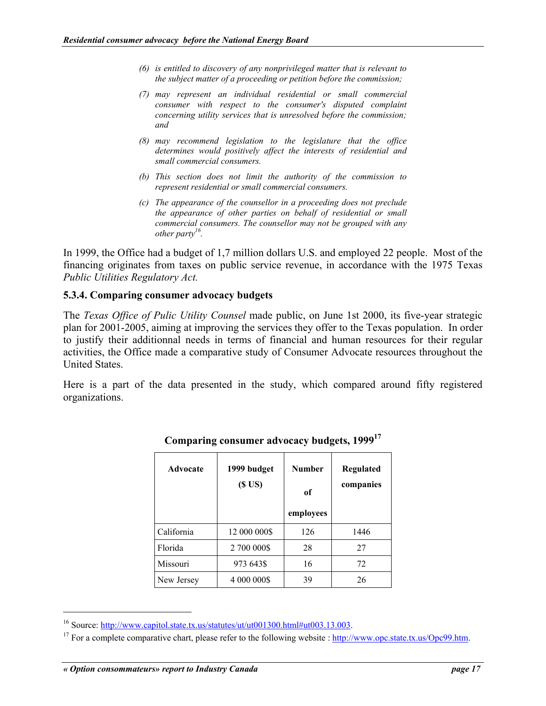- <span id="page-22-0"></span>*(6) is entitled to discovery of any nonprivileged matter that is relevant to the subject matter of a proceeding or petition before the commission;*
- *(7) may represent an individual residential or small commercial consumer with respect to the consumer's disputed complaint concerning utility services that is unresolved before the commission; and*
- *(8) may recommend legislation to the legislature that the office determines would positively affect the interests of residential and small commercial consumers.*
- *(b) This section does not limit the authority of the commission to represent residential or small commercial consumers.*
- *(c) The appearance of the counsellor in a proceeding does not preclude the appearance of other parties on behalf of residential or small commercial consumers. The counsellor may not be grouped with any other party [16.](#page-22-1)*

In 1999, the Office had a budget of 1,7 million dollars U.S. and employed 22 people. Most of the financing originates from taxes on public service revenue, in accordance with the 1975 Texas *Public Utilities Regulatory Act.*

### **5.3.4. Comparing consumer advocacy budgets**

The *Texas Office of Pulic Utility Counsel* made public, on June 1st 2000, its five-year strategic plan for 2001-2005, aiming at improving the services they offer to the Texas population. In order to justify their additionnal needs in terms of financial and human resources for their regular activities, the Office made a comparative study of Consumer Advocate resources throughout the United States.

Here is a part of the data presented in the study, which compared around fifty registered organizations.

| <b>Advocate</b> | 1999 budget<br>(SUS) | <b>Number</b><br>of<br>employees | Regulated<br>companies |
|-----------------|----------------------|----------------------------------|------------------------|
| California      | 12 000 000\$         | 126                              | 1446                   |
| Florida         | 2 700 000\$          | 28                               | 27                     |
| Missouri        | 973 643\$            | 16                               | 72                     |
| New Jersey      | 4 000 000\$          | 39                               | 26                     |

## **Comparing consumer advocacy budgets, 199[917](#page-22-2)**

<span id="page-22-2"></span><span id="page-22-1"></span>

<sup>&</sup>lt;sup>16</sup> Source: http://www.capitol.state.tx.us/statutes/ut/ut001300.html#ut003.13.003.<br><sup>17</sup> For a complete comparative chart, please refer to the following website : http://www.opc.state.tx.us/Opc99.htm.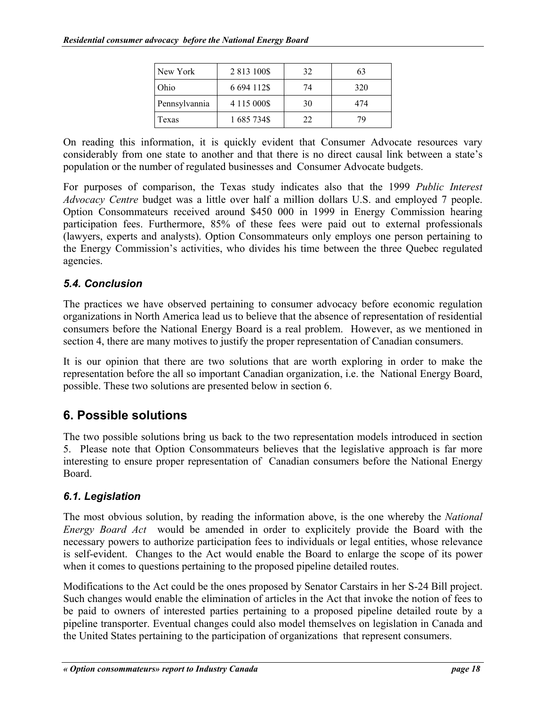| New York      | 2 813 100\$      | 32 | 63  |
|---------------|------------------|----|-----|
| Ohio          | 6 694 112\$      | 74 | 320 |
| Pennsylvannia | 4 1 1 5 0 0 0 \$ | 30 | 474 |
| Texas         | 1 685 734\$      | 22 | 70  |

<span id="page-23-0"></span>On reading this information, it is quickly evident that Consumer Advocate resources vary considerably from one state to another and that there is no direct causal link between a state's population or the number of regulated businesses and Consumer Advocate budgets.

For purposes of comparison, the Texas study indicates also that the 1999 *Public Interest Advocacy Centre* budget was a little over half a million dollars U.S. and employed 7 people. Option Consommateurs received around \$450 000 in 1999 in Energy Commission hearing participation fees. Furthermore, 85% of these fees were paid out to external professionals (lawyers, experts and analysts). Option Consommateurs only employs one person pertaining to the Energy Commission's activities, who divides his time between the three Quebec regulated agencies.

# *5.4. Conclusion*

The practices we have observed pertaining to consumer advocacy before economic regulation organizations in North America lead us to believe that the absence of representation of residential consumers before the National Energy Board is a real problem. However, as we mentioned in section 4, there are many motives to justify the proper representation of Canadian consumers.

It is our opinion that there are two solutions that are worth exploring in order to make the representation before the all so important Canadian organization, i.e. the National Energy Board, possible. These two solutions are presented below in section 6.

# **6. Possible solutions**

The two possible solutions bring us back to the two representation models introduced in section 5. Please note that Option Consommateurs believes that the legislative approach is far more interesting to ensure proper representation of Canadian consumers before the National Energy Board.

# *6.1. Legislation*

The most obvious solution, by reading the information above, is the one whereby the *National Energy Board Act* would be amended in order to explicitely provide the Board with the necessary powers to authorize participation fees to individuals or legal entities, whose relevance is self-evident. Changes to the Act would enable the Board to enlarge the scope of its power when it comes to questions pertaining to the proposed pipeline detailed routes.

Modifications to the Act could be the ones proposed by Senator Carstairs in her S-24 Bill project. Such changes would enable the elimination of articles in the Act that invoke the notion of fees to be paid to owners of interested parties pertaining to a proposed pipeline detailed route by a pipeline transporter. Eventual changes could also model themselves on legislation in Canada and the United States pertaining to the participation of organizations that represent consumers.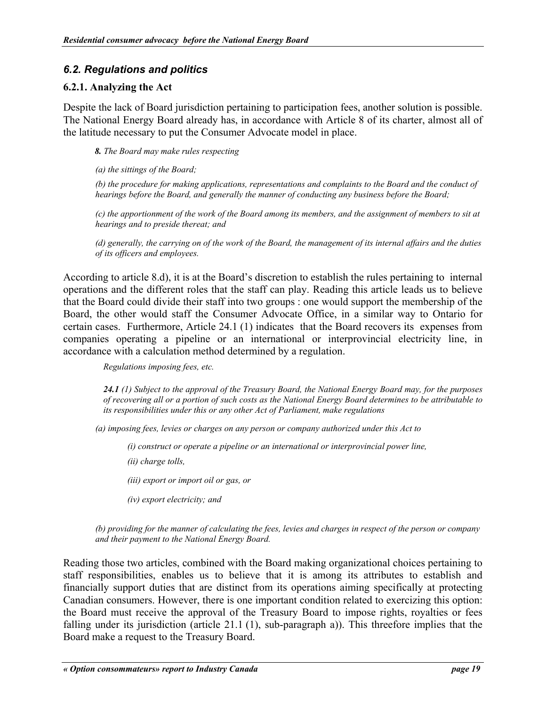# <span id="page-24-0"></span>*6.2. Regulations and politics*

## **6.2.1. Analyzing the Act**

Despite the lack of Board jurisdiction pertaining to participation fees, another solution is possible. The National Energy Board already has, in accordance with Article 8 of its charter, almost all of the latitude necessary to put the Consumer Advocate model in place.

*8. The Board may make rules respecting* 

*(a) the sittings of the Board;* 

*(b) the procedure for making applications, representations and complaints to the Board and the conduct of hearings before the Board, and generally the manner of conducting any business before the Board;* 

*(c) the apportionment of the work of the Board among its members, and the assignment of members to sit at hearings and to preside thereat; and*

*(d) generally, the carrying on of the work of the Board, the management of its internal affairs and the duties of its officers and employees.* 

According to article 8.d), it is at the Board's discretion to establish the rules pertaining to internal operations and the different roles that the staff can play. Reading this article leads us to believe that the Board could divide their staff into two groups : one would support the membership of the Board, the other would staff the Consumer Advocate Office, in a similar way to Ontario for certain cases. Furthermore, Article 24.1 (1) indicates that the Board recovers its expenses from companies operating a pipeline or an international or interprovincial electricity line, in accordance with a calculation method determined by a regulation.

*Regulations imposing fees, etc.* 

*24.1 (1) Subject to the approval of the Treasury Board, the National Energy Board may, for the purposes of recovering all or a portion of such costs as the National Energy Board determines to be attributable to its responsibilities under this or any other Act of Parliament, make regulations* 

*(a) imposing fees, levies or charges on any person or company authorized under this Act to* 

*(i) construct or operate a pipeline or an international or interprovincial power line,* 

*(ii) charge tolls,* 

*(iii) export or import oil or gas, or* 

*(iv) export electricity; and* 

*(b) providing for the manner of calculating the fees, levies and charges in respect of the person or company and their payment to the National Energy Board.* 

Reading those two articles, combined with the Board making organizational choices pertaining to staff responsibilities, enables us to believe that it is among its attributes to establish and financially support duties that are distinct from its operations aiming specifically at protecting Canadian consumers. However, there is one important condition related to exercizing this option: the Board must receive the approval of the Treasury Board to impose rights, royalties or fees falling under its jurisdiction (article 21.1 (1), sub-paragraph a)). This threefore implies that the Board make a request to the Treasury Board.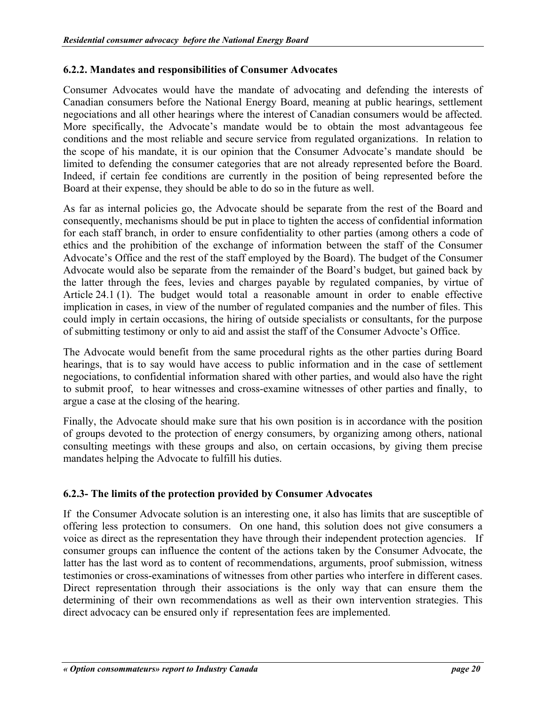## <span id="page-25-0"></span>**6.2.2. Mandates and responsibilities of Consumer Advocates**

Consumer Advocates would have the mandate of advocating and defending the interests of Canadian consumers before the National Energy Board, meaning at public hearings, settlement negociations and all other hearings where the interest of Canadian consumers would be affected. More specifically, the Advocate's mandate would be to obtain the most advantageous fee conditions and the most reliable and secure service from regulated organizations. In relation to the scope of his mandate, it is our opinion that the Consumer Advocate's mandate should be limited to defending the consumer categories that are not already represented before the Board. Indeed, if certain fee conditions are currently in the position of being represented before the Board at their expense, they should be able to do so in the future as well.

As far as internal policies go, the Advocate should be separate from the rest of the Board and consequently, mechanisms should be put in place to tighten the access of confidential information for each staff branch, in order to ensure confidentiality to other parties (among others a code of ethics and the prohibition of the exchange of information between the staff of the Consumer Advocate's Office and the rest of the staff employed by the Board). The budget of the Consumer Advocate would also be separate from the remainder of the Board's budget, but gained back by the latter through the fees, levies and charges payable by regulated companies, by virtue of Article 24.1 (1). The budget would total a reasonable amount in order to enable effective implication in cases, in view of the number of regulated companies and the number of files. This could imply in certain occasions, the hiring of outside specialists or consultants, for the purpose of submitting testimony or only to aid and assist the staff of the Consumer Advocte's Office.

The Advocate would benefit from the same procedural rights as the other parties during Board hearings, that is to say would have access to public information and in the case of settlement negociations, to confidential information shared with other parties, and would also have the right to submit proof, to hear witnesses and cross-examine witnesses of other parties and finally, to argue a case at the closing of the hearing.

Finally, the Advocate should make sure that his own position is in accordance with the position of groups devoted to the protection of energy consumers, by organizing among others, national consulting meetings with these groups and also, on certain occasions, by giving them precise mandates helping the Advocate to fulfill his duties.

## **6.2.3- The limits of the protection provided by Consumer Advocates**

If the Consumer Advocate solution is an interesting one, it also has limits that are susceptible of offering less protection to consumers. On one hand, this solution does not give consumers a voice as direct as the representation they have through their independent protection agencies. If consumer groups can influence the content of the actions taken by the Consumer Advocate, the latter has the last word as to content of recommendations, arguments, proof submission, witness testimonies or cross-examinations of witnesses from other parties who interfere in different cases. Direct representation through their associations is the only way that can ensure them the determining of their own recommendations as well as their own intervention strategies. This direct advocacy can be ensured only if representation fees are implemented.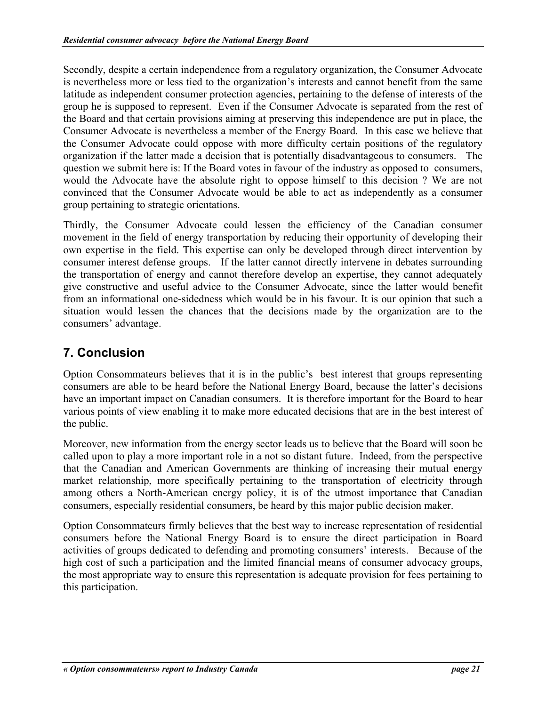<span id="page-26-0"></span>Secondly, despite a certain independence from a regulatory organization, the Consumer Advocate is nevertheless more or less tied to the organization's interests and cannot benefit from the same latitude as independent consumer protection agencies, pertaining to the defense of interests of the group he is supposed to represent. Even if the Consumer Advocate is separated from the rest of the Board and that certain provisions aiming at preserving this independence are put in place, the Consumer Advocate is nevertheless a member of the Energy Board. In this case we believe that the Consumer Advocate could oppose with more difficulty certain positions of the regulatory organization if the latter made a decision that is potentially disadvantageous to consumers. The question we submit here is: If the Board votes in favour of the industry as opposed to consumers, would the Advocate have the absolute right to oppose himself to this decision ? We are not convinced that the Consumer Advocate would be able to act as independently as a consumer group pertaining to strategic orientations.

Thirdly, the Consumer Advocate could lessen the efficiency of the Canadian consumer movement in the field of energy transportation by reducing their opportunity of developing their own expertise in the field. This expertise can only be developed through direct intervention by consumer interest defense groups. If the latter cannot directly intervene in debates surrounding the transportation of energy and cannot therefore develop an expertise, they cannot adequately give constructive and useful advice to the Consumer Advocate, since the latter would benefit from an informational one-sidedness which would be in his favour. It is our opinion that such a situation would lessen the chances that the decisions made by the organization are to the consumers' advantage.

# **7. Conclusion**

Option Consommateurs believes that it is in the public's best interest that groups representing consumers are able to be heard before the National Energy Board, because the latter's decisions have an important impact on Canadian consumers. It is therefore important for the Board to hear various points of view enabling it to make more educated decisions that are in the best interest of the public.

Moreover, new information from the energy sector leads us to believe that the Board will soon be called upon to play a more important role in a not so distant future. Indeed, from the perspective that the Canadian and American Governments are thinking of increasing their mutual energy market relationship, more specifically pertaining to the transportation of electricity through among others a North-American energy policy, it is of the utmost importance that Canadian consumers, especially residential consumers, be heard by this major public decision maker.

Option Consommateurs firmly believes that the best way to increase representation of residential consumers before the National Energy Board is to ensure the direct participation in Board activities of groups dedicated to defending and promoting consumers' interests. Because of the high cost of such a participation and the limited financial means of consumer advocacy groups, the most appropriate way to ensure this representation is adequate provision for fees pertaining to this participation.